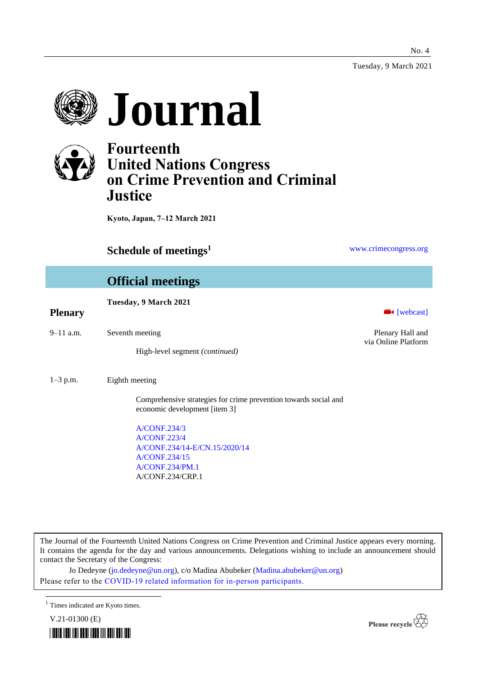Tuesday, 9 March 2021

No. 4





## **Fourteenth United Nations Congress on Crime Prevention and Criminal Justice**

**Kyoto, Japan, 7–12 March 2021**

### **Schedule of meetings<sup>1</sup> [www.crimecongress.org](http://www.crimecongress.org/)**

## **Official meetings Tuesday, 9 March 2021 Plenary Exercise Exercise Exercise Exercise Exercise Exercise Exercise Exercise Exercise Exercise Exercise Exercise Exercise Exercise Exercise Exercise Exercise Exercise Exercise Exercise Exercise Exercise Exercise Exer** 9–11 a.m. Seventh meeting Plenary Hall and via Online Platform High-level segment *(continued)* 1–3 p.m. Eighth meeting Comprehensive strategies for crime prevention towards social and economic development [item 3] [A/CONF.234/3](http://undocs.org/A/CONF.234/3) [A/CONF.223/4](http://undocs.org/A/CONF.223/4) [A/CONF.234/14](http://undocs.org/A/CONF.234/14)[-E/CN.15/2020/14](http://undocs.org/E/CN.15/2020/14) [A/CONF.234/15](http://undocs.org/A/CONF.234/15) [A/CONF.234/PM.1](http://undocs.org/A/CONF.234/PM.1) A/CONF.234/CRP.1

The Journal of the Fourteenth United Nations Congress on Crime Prevention and Criminal Justice appears every morning. It contains the agenda for the day and various announcements. Delegations wishing to include an announcement should contact the Secretary of the Congress:

Jo Dedeyne [\(jo.dedeyne@un.org\)](mailto:jo.dedeyne@un.org), c/o Madina Abubeker [\(Madina.abubeker@un.org\)](mailto:Madina.abubeker@un.org) Please refer to the [COVID-19 related information for in-person participants.](https://www.unodc.org/unodc/en/crimecongress/covid-19.html)

V.21-01300 (E)





 $<sup>1</sup>$  Times indicated are Kyoto times.</sup>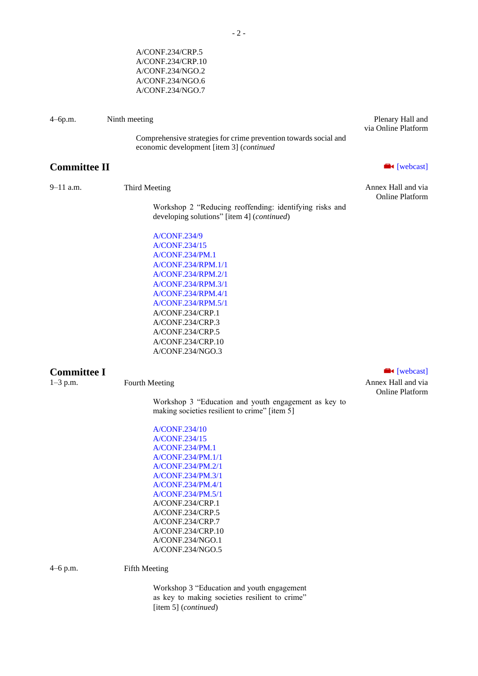|                     | A/CONF.234/CRP.10<br>A/CONF.234/NGO.2<br>A/CONF.234/NGO.6<br>A/CONF.234/NGO.7                                |                                              |
|---------------------|--------------------------------------------------------------------------------------------------------------|----------------------------------------------|
| $4 - 6p.m.$         | Ninth meeting                                                                                                | Plenary Hall and<br>via Online Platform      |
|                     | Comprehensive strategies for crime prevention towards social and<br>economic development [item 3] (continued |                                              |
| <b>Committee II</b> |                                                                                                              | <b>N</b> [webcast]                           |
| 9-11 a.m.           | Third Meeting                                                                                                | Annex Hall and via<br><b>Online Platform</b> |
|                     | Workshop 2 "Reducing reoffending: identifying risks and<br>developing solutions" [item 4] (continued)        |                                              |
|                     | A/CONF.234/9                                                                                                 |                                              |
|                     | A/CONF.234/15                                                                                                |                                              |
|                     | A/CONF.234/PM.1<br>A/CONF.234/RPM.1/1                                                                        |                                              |
|                     | A/CONF.234/RPM.2/1                                                                                           |                                              |
|                     | A/CONF.234/RPM.3/1                                                                                           |                                              |
|                     | A/CONF.234/RPM.4/1                                                                                           |                                              |
|                     | A/CONF.234/RPM.5/1                                                                                           |                                              |
|                     | A/CONF.234/CRP.1                                                                                             |                                              |
|                     | A/CONF.234/CRP.3                                                                                             |                                              |
|                     | A/CONF.234/CRP.5                                                                                             |                                              |
|                     | A/CONF.234/CRP.10<br>A/CONF.234/NGO.3                                                                        |                                              |
|                     |                                                                                                              |                                              |
| <b>Committee I</b>  |                                                                                                              | $\blacksquare$ [webcast]                     |
| $1 - 3$ p.m.        | Fourth Meeting                                                                                               | Annex Hall and via<br><b>Online Platform</b> |
|                     | Workshop 3 "Education and youth engagement as key to<br>making societies resilient to crime" [item 5]        |                                              |
|                     | A/CONF.234/10                                                                                                |                                              |
|                     | A/CONF.234/15                                                                                                |                                              |
|                     | A/CONF.234/PM.1                                                                                              |                                              |
|                     | A/CONF.234/PM.1/1                                                                                            |                                              |
|                     | A/CONF.234/PM.2/1<br>A/CONF.234/PM.3/1                                                                       |                                              |
|                     | A/CONF.234/PM.4/1                                                                                            |                                              |
|                     | A/CONF.234/PM.5/1                                                                                            |                                              |
|                     | A/CONF.234/CRP.1                                                                                             |                                              |
|                     | A/CONF.234/CRP.5                                                                                             |                                              |
|                     | A/CONF.234/CRP.7                                                                                             |                                              |
|                     | A/CONF.234/CRP.10                                                                                            |                                              |
|                     | A/CONF.234/NGO.1<br>A/CONF.234/NGO.5                                                                         |                                              |
|                     |                                                                                                              |                                              |
| 4-6 p.m.            | <b>Fifth Meeting</b>                                                                                         |                                              |

Workshop 3 "Education and youth engagement as key to making societies resilient to crime" [item 5] (*continued*)

A/CONF.234/CRP.5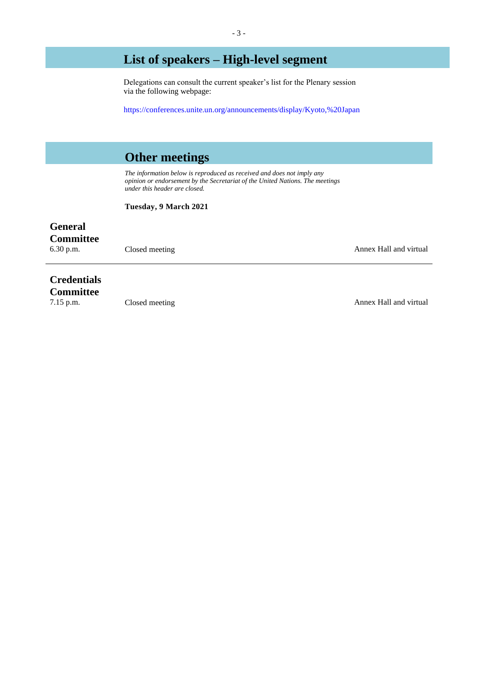## **List of speakers – High-level segment**

Delegations can consult the current speaker's list for the Plenary session via the following webpage:

<https://conferences.unite.un.org/announcements/display/Kyoto,%20Japan>

### **Other meetings**

*The information below is reproduced as received and does not imply any opinion or endorsement by the Secretariat of the United Nations. The meetings under this header are closed.*

**Tuesday, 9 March 2021**

# **General**

**Committee**<br>6.30 p.m.

Closed meeting **Annex Hall and virtual** 

## **Credentials**

**Committee**<br>7.15 p.m.

The Towns of the Closed meeting Annex Hall and virtual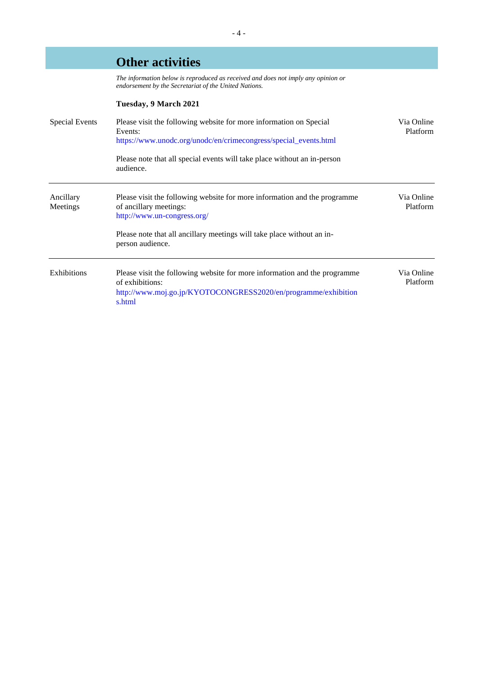|                       | <b>Other activities</b>                                                                                                                                                  |                        |
|-----------------------|--------------------------------------------------------------------------------------------------------------------------------------------------------------------------|------------------------|
|                       | The information below is reproduced as received and does not imply any opinion or<br>endorsement by the Secretariat of the United Nations.                               |                        |
|                       | Tuesday, 9 March 2021                                                                                                                                                    |                        |
| <b>Special Events</b> | Please visit the following website for more information on Special<br>Events:<br>https://www.unodc.org/unodc/en/crimecongress/special_events.html                        | Via Online<br>Platform |
|                       | Please note that all special events will take place without an in-person<br>audience.                                                                                    |                        |
| Ancillary<br>Meetings | Please visit the following website for more information and the programme<br>of ancillary meetings:<br>http://www.un-congress.org/                                       | Via Online<br>Platform |
|                       | Please note that all ancillary meetings will take place without an in-<br>person audience.                                                                               |                        |
| <b>Exhibitions</b>    | Please visit the following website for more information and the programme<br>of exhibitions:<br>http://www.moj.go.jp/KYOTOCONGRESS2020/en/programme/exhibition<br>s.html | Via Online<br>Platform |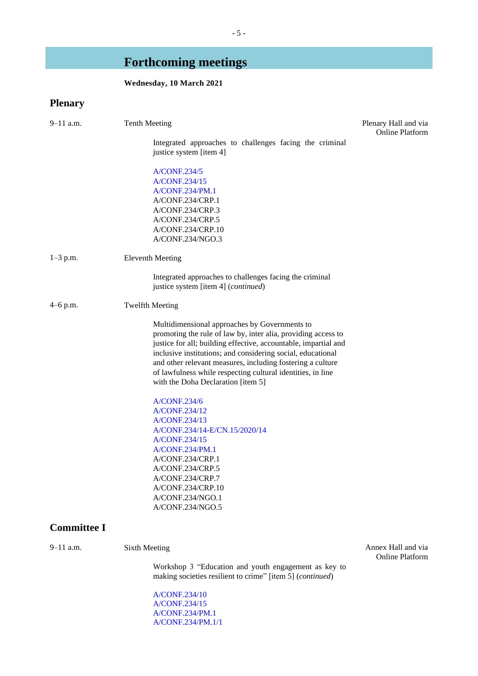# **Forthcoming meetings**

### **Wednesday, 10 March 2021**

## **Plenary**

| 9–11 a.m.          | <b>Tenth Meeting</b>                                                                                                                                                                                                                                                                                                                                                                                                | Plenary Hall and via<br><b>Online Platform</b> |
|--------------------|---------------------------------------------------------------------------------------------------------------------------------------------------------------------------------------------------------------------------------------------------------------------------------------------------------------------------------------------------------------------------------------------------------------------|------------------------------------------------|
|                    | Integrated approaches to challenges facing the criminal<br>justice system [item 4]                                                                                                                                                                                                                                                                                                                                  |                                                |
|                    | <b>A/CONF.234/5</b>                                                                                                                                                                                                                                                                                                                                                                                                 |                                                |
|                    | A/CONF.234/15                                                                                                                                                                                                                                                                                                                                                                                                       |                                                |
|                    | A/CONF.234/PM.1                                                                                                                                                                                                                                                                                                                                                                                                     |                                                |
|                    | A/CONF.234/CRP.1                                                                                                                                                                                                                                                                                                                                                                                                    |                                                |
|                    | A/CONF.234/CRP.3                                                                                                                                                                                                                                                                                                                                                                                                    |                                                |
|                    | A/CONF.234/CRP.5                                                                                                                                                                                                                                                                                                                                                                                                    |                                                |
|                    | A/CONF.234/CRP.10                                                                                                                                                                                                                                                                                                                                                                                                   |                                                |
|                    | A/CONF.234/NGO.3                                                                                                                                                                                                                                                                                                                                                                                                    |                                                |
| $1 - 3$ p.m.       | <b>Eleventh Meeting</b>                                                                                                                                                                                                                                                                                                                                                                                             |                                                |
|                    | Integrated approaches to challenges facing the criminal<br>justice system [item 4] (continued)                                                                                                                                                                                                                                                                                                                      |                                                |
| $4-6$ p.m.         | <b>Twelfth Meeting</b>                                                                                                                                                                                                                                                                                                                                                                                              |                                                |
|                    | Multidimensional approaches by Governments to<br>promoting the rule of law by, inter alia, providing access to<br>justice for all; building effective, accountable, impartial and<br>inclusive institutions; and considering social, educational<br>and other relevant measures, including fostering a culture<br>of lawfulness while respecting cultural identities, in line<br>with the Doha Declaration [item 5] |                                                |
|                    | <b>A/CONF.234/6</b>                                                                                                                                                                                                                                                                                                                                                                                                 |                                                |
|                    | A/CONF.234/12<br>A/CONF.234/13                                                                                                                                                                                                                                                                                                                                                                                      |                                                |
|                    | A/CONF.234/14-E/CN.15/2020/14                                                                                                                                                                                                                                                                                                                                                                                       |                                                |
|                    | A/CONF.234/15                                                                                                                                                                                                                                                                                                                                                                                                       |                                                |
|                    | A/CONF.234/PM.1                                                                                                                                                                                                                                                                                                                                                                                                     |                                                |
|                    | A/CONF.234/CRP.1                                                                                                                                                                                                                                                                                                                                                                                                    |                                                |
|                    | A/CONF.234/CRP.5                                                                                                                                                                                                                                                                                                                                                                                                    |                                                |
|                    | A/CONF.234/CRP.7                                                                                                                                                                                                                                                                                                                                                                                                    |                                                |
|                    | A/CONF.234/CRP.10                                                                                                                                                                                                                                                                                                                                                                                                   |                                                |
|                    | A/CONF.234/NGO.1                                                                                                                                                                                                                                                                                                                                                                                                    |                                                |
|                    | A/CONF.234/NGO.5                                                                                                                                                                                                                                                                                                                                                                                                    |                                                |
| <b>Committee I</b> |                                                                                                                                                                                                                                                                                                                                                                                                                     |                                                |
| $9 - 11$ a.m.      | <b>Sixth Meeting</b>                                                                                                                                                                                                                                                                                                                                                                                                | Annex Hall and via<br><b>Online Platform</b>   |
|                    | Workshop 3 "Education and youth engagement as key to<br>making societies resilient to crime" [item 5] (continued)                                                                                                                                                                                                                                                                                                   |                                                |
|                    | A/CONF.234/10                                                                                                                                                                                                                                                                                                                                                                                                       |                                                |

[A/CONF.234/15](http://undocs.org/A/CONF.234/15) [A/CONF.234/PM.1](http://undocs.org/A/CONF.234/PM.1) [A/CONF.234/PM.1/1](http://undocs.org/A/CONF.234/PM.1/1)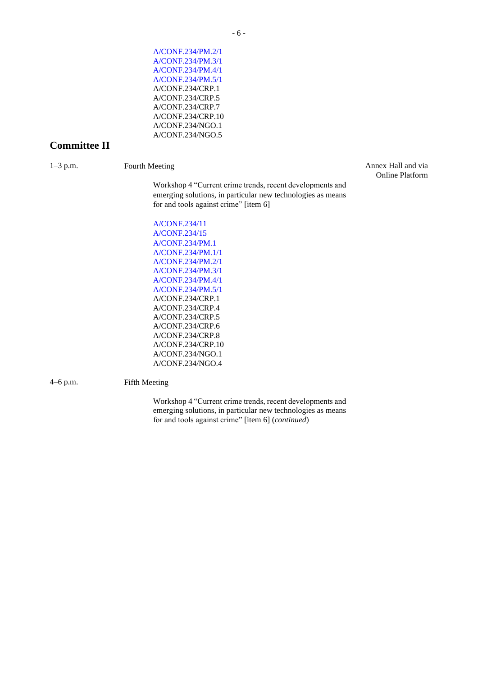[A/CONF.234/PM.2/1](http://undocs.org/A/CONF.234/PM.2/1) [A/CONF.234/PM.3/1](http://undocs.org/A/CONF.234/PM.3/1) [A/CONF.234/PM.4/1](http://undocs.org/A/CONF.234/PM.4/1) [A/CONF.234/PM.5/1](http://undocs.org/A/CONF.234/PM.5/1) A/CONF.234/CRP.1 A/CONF.234/CRP.5 A/CONF.234/CRP.7 A/CONF.234/CRP.10 A/CONF.234/NGO.1 A/CONF.234/NGO.5

### **Committee II**

1–3 p.m. Fourth Meeting Annex Hall and via Online Platform

> Workshop 4 "Current crime trends, recent developments and emerging solutions, in particular new technologies as means for and tools against crime" [item 6]

[A/CONF.234/11](http://undocs.org/A/CONF.234/11) [A/CONF.234/15](http://undocs.org/A/CONF.234/15) [A/CONF.234/PM.1](http://undocs.org/A/CONF.234/PM.1) [A/CONF.234/PM.1/1](http://undocs.org/A/CONF.234/PM.1/1) [A/CONF.234/PM.2/1](http://undocs.org/A/CONF.234/PM.2/1) [A/CONF.234/PM.3/1](http://undocs.org/A/CONF.234/PM.3/1) [A/CONF.234/PM.4/1](http://undocs.org/A/CONF.234/PM.4/1) [A/CONF.234/PM.5/1](http://undocs.org/A/CONF.234/PM.5/1) A/CONF.234/CRP.1 A/CONF.234/CRP.4 A/CONF.234/CRP.5 A/CONF.234/CRP.6 A/CONF.234/CRP.8 A/CONF.234/CRP.10 A/CONF.234/NGO.1 A/CONF.234/NGO.4

4–6 p.m. Fifth Meeting

Workshop 4 "Current crime trends, recent developments and emerging solutions, in particular new technologies as means for and tools against crime" [item 6] (*continued*)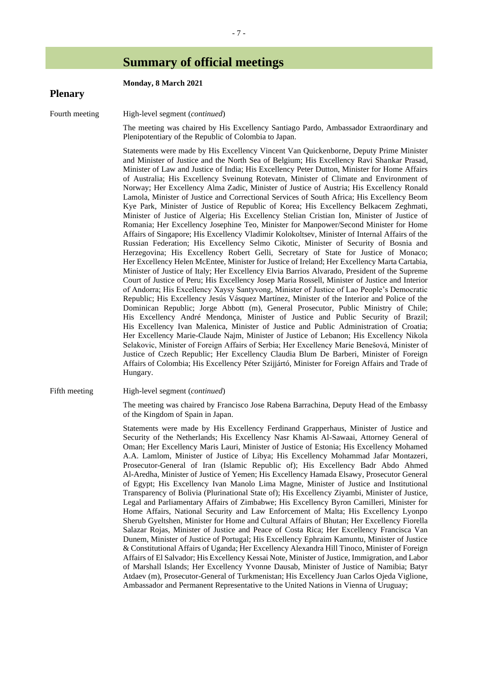### **Summary of official meetings**

| <b>Plenary</b> | Monday, 8 March 2021                                                                                                                                                                                                                                                                                                                                                                                                                                                                                                                                                                                                                                                                                                                                                                                                                                                                                                                                                                                                                                                                                                                                                                                                                                                                                                                                                                                                                                                                                                                                                                                                                                                                                                                                                                                                                                                                                                                                                                                                                                                                                                                                                                                                                                                                                                 |
|----------------|----------------------------------------------------------------------------------------------------------------------------------------------------------------------------------------------------------------------------------------------------------------------------------------------------------------------------------------------------------------------------------------------------------------------------------------------------------------------------------------------------------------------------------------------------------------------------------------------------------------------------------------------------------------------------------------------------------------------------------------------------------------------------------------------------------------------------------------------------------------------------------------------------------------------------------------------------------------------------------------------------------------------------------------------------------------------------------------------------------------------------------------------------------------------------------------------------------------------------------------------------------------------------------------------------------------------------------------------------------------------------------------------------------------------------------------------------------------------------------------------------------------------------------------------------------------------------------------------------------------------------------------------------------------------------------------------------------------------------------------------------------------------------------------------------------------------------------------------------------------------------------------------------------------------------------------------------------------------------------------------------------------------------------------------------------------------------------------------------------------------------------------------------------------------------------------------------------------------------------------------------------------------------------------------------------------------|
| Fourth meeting | High-level segment (continued)                                                                                                                                                                                                                                                                                                                                                                                                                                                                                                                                                                                                                                                                                                                                                                                                                                                                                                                                                                                                                                                                                                                                                                                                                                                                                                                                                                                                                                                                                                                                                                                                                                                                                                                                                                                                                                                                                                                                                                                                                                                                                                                                                                                                                                                                                       |
|                | The meeting was chaired by His Excellency Santiago Pardo, Ambassador Extraordinary and<br>Plenipotentiary of the Republic of Colombia to Japan.                                                                                                                                                                                                                                                                                                                                                                                                                                                                                                                                                                                                                                                                                                                                                                                                                                                                                                                                                                                                                                                                                                                                                                                                                                                                                                                                                                                                                                                                                                                                                                                                                                                                                                                                                                                                                                                                                                                                                                                                                                                                                                                                                                      |
|                | Statements were made by His Excellency Vincent Van Quickenborne, Deputy Prime Minister<br>and Minister of Justice and the North Sea of Belgium; His Excellency Ravi Shankar Prasad,<br>Minister of Law and Justice of India; His Excellency Peter Dutton, Minister for Home Affairs<br>of Australia; His Excellency Sveinung Rotevatn, Minister of Climate and Environment of<br>Norway; Her Excellency Alma Zadic, Minister of Justice of Austria; His Excellency Ronald<br>Lamola, Minister of Justice and Correctional Services of South Africa; His Excellency Beom<br>Kye Park, Minister of Justice of Republic of Korea; His Excellency Belkacem Zeghmati,<br>Minister of Justice of Algeria; His Excellency Stelian Cristian Ion, Minister of Justice of<br>Romania; Her Excellency Josephine Teo, Minister for Manpower/Second Minister for Home<br>Affairs of Singapore; His Excellency Vladimir Kolokoltsev, Minister of Internal Affairs of the<br>Russian Federation; His Excellency Selmo Cikotic, Minister of Security of Bosnia and<br>Herzegovina; His Excellency Robert Gelli, Secretary of State for Justice of Monaco;<br>Her Excellency Helen McEntee, Minister for Justice of Ireland; Her Excellency Marta Cartabia,<br>Minister of Justice of Italy; Her Excellency Elvia Barrios Alvarado, President of the Supreme<br>Court of Justice of Peru; His Excellency Josep Maria Rossell, Minister of Justice and Interior<br>of Andorra; His Excellency Xaysy Santyvong, Minister of Justice of Lao People's Democratic<br>Republic; His Excellency Jesús Vásquez Martínez, Minister of the Interior and Police of the<br>Dominican Republic; Jorge Abbott (m), General Prosecutor, Public Ministry of Chile;<br>His Excellency André Mendonça, Minister of Justice and Public Security of Brazil;<br>His Excellency Ivan Malenica, Minister of Justice and Public Administration of Croatia;<br>Her Excellency Marie-Claude Najm, Minister of Justice of Lebanon; His Excellency Nikola<br>Selakovic, Minister of Foreign Affairs of Serbia; Her Excellency Marie Benešová, Minister of<br>Justice of Czech Republic; Her Excellency Claudia Blum De Barberi, Minister of Foreign<br>Affairs of Colombia; His Excellency Péter Szijjártó, Minister for Foreign Affairs and Trade of<br>Hungary. |
| Fifth meeting  | High-level segment (continued)                                                                                                                                                                                                                                                                                                                                                                                                                                                                                                                                                                                                                                                                                                                                                                                                                                                                                                                                                                                                                                                                                                                                                                                                                                                                                                                                                                                                                                                                                                                                                                                                                                                                                                                                                                                                                                                                                                                                                                                                                                                                                                                                                                                                                                                                                       |
|                | The meeting was chaired by Francisco Jose Rabena Barrachina, Deputy Head of the Embassy<br>of the Kingdom of Spain in Japan.                                                                                                                                                                                                                                                                                                                                                                                                                                                                                                                                                                                                                                                                                                                                                                                                                                                                                                                                                                                                                                                                                                                                                                                                                                                                                                                                                                                                                                                                                                                                                                                                                                                                                                                                                                                                                                                                                                                                                                                                                                                                                                                                                                                         |
|                | Statements were made by His Excellency Ferdinand Grapperhaus, Minister of Justice and<br>Security of the Netherlands; His Excellency Nasr Khamis Al-Sawaai, Attorney General of<br>Oman; Her Excellency Maris Lauri, Minister of Justice of Estonia; His Excellency Mohamed<br>A.A. Lamlom, Minister of Justice of Libya; His Excellency Mohammad Jafar Montazeri,<br>Prosecutor-General of Iran (Islamic Republic of); His Excellency Badr Abdo Ahmed<br>Al-Aredha, Minister of Justice of Yemen; His Excellency Hamada Elsawy, Prosecutor General                                                                                                                                                                                                                                                                                                                                                                                                                                                                                                                                                                                                                                                                                                                                                                                                                                                                                                                                                                                                                                                                                                                                                                                                                                                                                                                                                                                                                                                                                                                                                                                                                                                                                                                                                                  |

of Egypt; His Excellency Ivan Manolo Lima Magne, Minister of Justice and Institutional Transparency of Bolivia (Plurinational State of); His Excellency Ziyambi, Minister of Justice, Legal and Parliamentary Affairs of Zimbabwe; His Excellency Byron Camilleri, Minister for Home Affairs, National Security and Law Enforcement of Malta; His Excellency Lyonpo Sherub Gyeltshen, Minister for Home and Cultural Affairs of Bhutan; Her Excellency Fiorella Salazar Rojas, Minister of Justice and Peace of Costa Rica; Her Excellency Francisca Van Dunem, Minister of Justice of Portugal; His Excellency Ephraim Kamuntu, Minister of Justice & Constitutional Affairs of Uganda; Her Excellency Alexandra Hill Tinoco, Minister of Foreign Affairs of El Salvador; His Excellency Kessai Note, Minister of Justice, Immigration, and Labor of Marshall Islands; Her Excellency Yvonne Dausab, Minister of Justice of Namibia; Batyr Atdaev (m), Prosecutor-General of Turkmenistan; His Excellency Juan Carlos Ojeda Viglione, Ambassador and Permanent Representative to the United Nations in Vienna of Uruguay;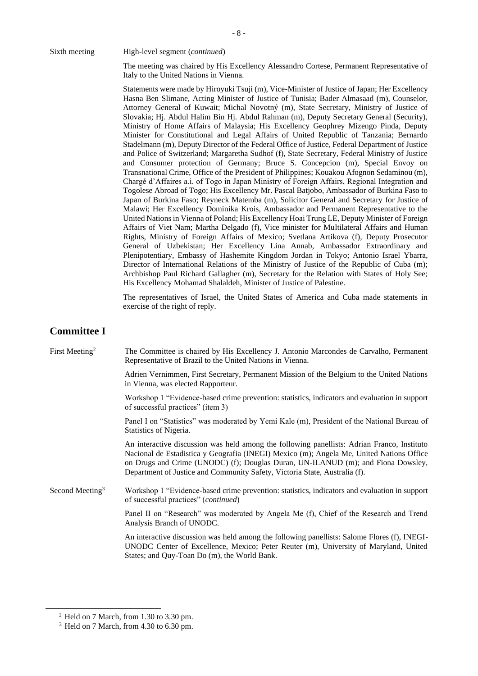The meeting was chaired by His Excellency Alessandro Cortese, Permanent Representative of Italy to the United Nations in Vienna.

Statements were made by Hiroyuki Tsuji (m), Vice-Minister of Justice of Japan; Her Excellency Hasna Ben Slimane, Acting Minister of Justice of Tunisia; Bader Almasaad (m), Counselor, Attorney General of Kuwait; Michal Novotný (m), State Secretary, Ministry of Justice of Slovakia; Hj. Abdul Halim Bin Hj. Abdul Rahman (m), Deputy Secretary General (Security), Ministry of Home Affairs of Malaysia; His Excellency Geophrey Mizengo Pinda, Deputy Minister for Constitutional and Legal Affairs of United Republic of Tanzania; Bernardo Stadelmann (m), Deputy Director of the Federal Office of Justice, Federal Department of Justice and Police of Switzerland; Margaretha Sudhof (f), State Secretary, Federal Ministry of Justice and Consumer protection of Germany; Bruce S. Concepcion (m), Special Envoy on Transnational Crime, Office of the President of Philippines; Kouakou Afognon Sedaminou (m), Chargé d'Affaires a.i. of Togo in Japan Ministry of Foreign Affairs, Regional Integration and Togolese Abroad of Togo; His Excellency Mr. Pascal Batjobo, Ambassador of Burkina Faso to Japan of Burkina Faso; Reyneck Matemba (m), Solicitor General and Secretary for Justice of Malawi; Her Excellency Dominika Krois, Ambassador and Permanent Representative to the United Nations in Vienna of Poland; His Excellency Hoai Trung LE, Deputy Minister of Foreign Affairs of Viet Nam; Martha Delgado (f), Vice minister for Multilateral Affairs and Human Rights, Ministry of Foreign Affairs of Mexico; Svetlana Artikova (f), Deputy Prosecutor General of Uzbekistan; Her Excellency Lina Annab, Ambassador Extraordinary and Plenipotentiary, Embassy of Hashemite Kingdom Jordan in Tokyo; Antonio Israel Ybarra, Director of International Relations of the Ministry of Justice of the Republic of Cuba (m); Archbishop Paul Richard Gallagher (m), Secretary for the Relation with States of Holy See; His Excellency Mohamad Shalaldeh, Minister of Justice of Palestine.

The representatives of Israel, the United States of America and Cuba made statements in exercise of the right of reply.

### **Committee I**

First Meeting<sup>2</sup> The Committee is chaired by His Excellency J. Antonio Marcondes de Carvalho, Permanent Representative of Brazil to the United Nations in Vienna.

> Adrien Vernimmen, First Secretary, Permanent Mission of the Belgium to the United Nations in Vienna, was elected Rapporteur.

> Workshop 1 "Evidence-based crime prevention: statistics, indicators and evaluation in support of successful practices" (item 3)

> Panel I on "Statistics" was moderated by Yemi Kale (m), President of the National Bureau of Statistics of Nigeria.

> An interactive discussion was held among the following panellists: Adrian Franco, Instituto Nacional de Estadistica y Geografia (INEGI) Mexico (m); Angela Me, United Nations Office on Drugs and Crime (UNODC) (f); Douglas Duran, UN-ILANUD (m); and Fiona Dowsley, Department of Justice and Community Safety, Victoria State, Australia (f).

Second Meeting<sup>3</sup> Workshop 1 "Evidence-based crime prevention: statistics, indicators and evaluation in support of successful practices" (*continued*)

> Panel II on "Research" was moderated by Angela Me (f), Chief of the Research and Trend Analysis Branch of UNODC.

> An interactive discussion was held among the following panellists: Salome Flores (f), INEGI-UNODC Center of Excellence, Mexico; Peter Reuter (m), University of Maryland, United States; and Quy-Toan Do (m), the World Bank.

<sup>2</sup> Held on 7 March, from 1.30 to 3.30 pm.

 $3$  Held on 7 March, from 4.30 to 6.30 pm.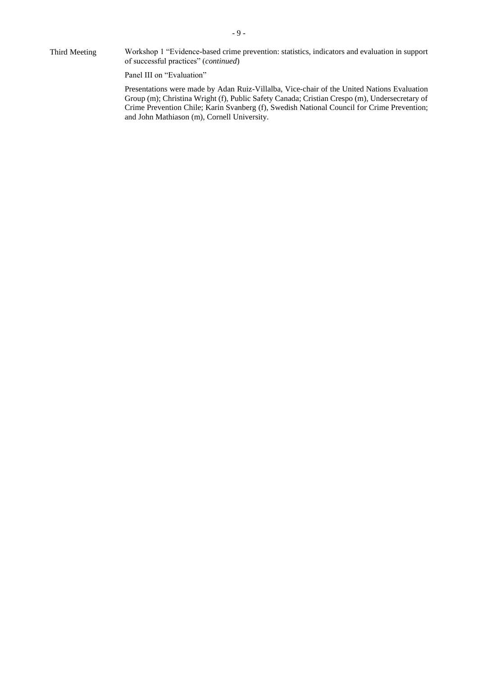Third Meeting Workshop 1 "Evidence-based crime prevention: statistics, indicators and evaluation in support of successful practices" (*continued*)

Panel III on "Evaluation"

Presentations were made by Adan Ruiz-Villalba, Vice-chair of the United Nations Evaluation Group (m); Christina Wright (f), Public Safety Canada; Cristian Crespo (m), Undersecretary of Crime Prevention Chile; Karin Svanberg (f), Swedish National Council for Crime Prevention; and John Mathiason (m), Cornell University.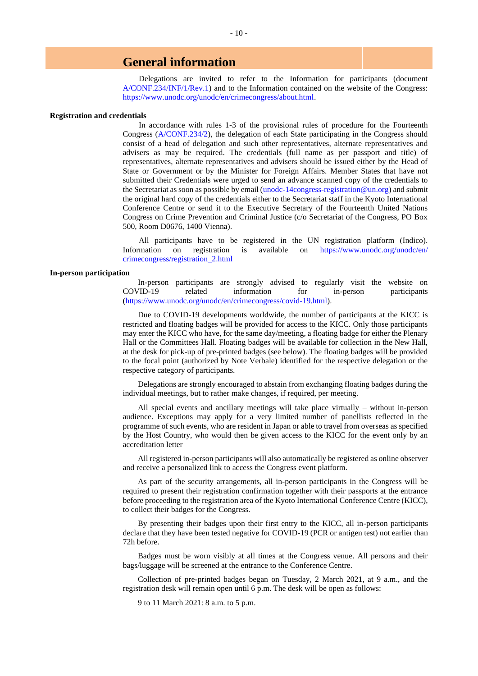### **General information**

Delegations are invited to refer to the Information for participants (document [A/CONF.234/INF/1/Rev.1\)](http://undocs.org/A/CONF.234/INF/1/Rev.1) and to the Information contained on the website of the Congress: [https://www.unodc.org/unodc/en/crimecongress/about.html.](https://www.unodc.org/unodc/en/crimecongress/about.html)

#### **Registration and credentials**

In accordance with rules 1-3 of the provisional rules of procedure for the Fourteenth Congress [\(A/CONF.234/2\)](http://undocs.org/A/Conf.234/2), the delegation of each State participating in the Congress should consist of a head of delegation and such other representatives, alternate representatives and advisers as may be required. The credentials (full name as per passport and title) of representatives, alternate representatives and advisers should be issued either by the Head of State or Government or by the Minister for Foreign Affairs. Member States that have not submitted their Credentials were urged to send an advance scanned copy of the credentials to the Secretariat as soon as possible by email [\(unodc-14congress-registration@un.org\)](mailto:unodc-14congress-registration@un.org) and submit the original hard copy of the credentials either to the Secretariat staff in the Kyoto International Conference Centre or send it to the Executive Secretary of the Fourteenth United Nations Congress on Crime Prevention and Criminal Justice (c/o Secretariat of the Congress, PO Box 500, Room D0676, 1400 Vienna).

All participants have to be registered in the UN registration platform (Indico). Information on registration is available on [https://www.unodc.org/unodc/en/](https://www.unodc.org/unodc/en/%0bcrimecongress/registration_2.html) [crimecongress/registration\\_2.html](https://www.unodc.org/unodc/en/%0bcrimecongress/registration_2.html)

#### **In-person participation**

In-person participants are strongly advised to regularly visit the website on COVID-19 related information for in-person participants [\(https://www.unodc.org/unodc/en/crimecongress/covid-19.html\)](https://www.unodc.org/unodc/en/crimecongress/covid-19.html).

Due to COVID-19 developments worldwide, the number of participants at the KICC is restricted and floating badges will be provided for access to the KICC. Only those participants may enter the KICC who have, for the same day/meeting, a floating badge for either the Plenary Hall or the Committees Hall. Floating badges will be available for collection in the New Hall, at the desk for pick-up of pre-printed badges (see below). The floating badges will be provided to the focal point (authorized by Note Verbale) identified for the respective delegation or the respective category of participants.

Delegations are strongly encouraged to abstain from exchanging floating badges during the individual meetings, but to rather make changes, if required, per meeting.

All special events and ancillary meetings will take place virtually – without in-person audience. Exceptions may apply for a very limited number of panellists reflected in the programme of such events, who are resident in Japan or able to travel from overseas as specified by the Host Country, who would then be given access to the KICC for the event only by an accreditation letter

All registered in-person participants will also automatically be registered as online observer and receive a personalized link to access the Congress event platform.

As part of the security arrangements, all in-person participants in the Congress will be required to present their registration confirmation together with their passports at the entrance before proceeding to the registration area of the Kyoto International Conference Centre (KICC), to collect their badges for the Congress.

By presenting their badges upon their first entry to the KICC, all in-person participants declare that they have been tested negative for COVID-19 (PCR or antigen test) not earlier than 72h before.

Badges must be worn visibly at all times at the Congress venue. All persons and their bags/luggage will be screened at the entrance to the Conference Centre.

Collection of pre-printed badges began on Tuesday, 2 March 2021, at 9 a.m., and the registration desk will remain open until 6 p.m. The desk will be open as follows:

9 to 11 March 2021: 8 a.m. to 5 p.m.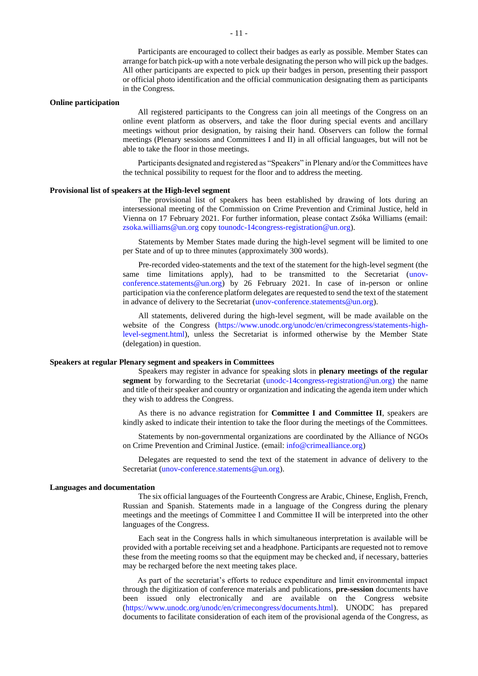Participants are encouraged to collect their badges as early as possible. Member States can arrange for batch pick-up with a note verbale designating the person who will pick up the badges. All other participants are expected to pick up their badges in person, presenting their passport or official photo identification and the official communication designating them as participants in the Congress.

#### **Online participation**

All registered participants to the Congress can join all meetings of the Congress on an online event platform as observers, and take the floor during special events and ancillary meetings without prior designation, by raising their hand. Observers can follow the formal meetings (Plenary sessions and Committees I and II) in all official languages, but will not be able to take the floor in those meetings.

Participants designated and registered as "Speakers" in Plenary and/or the Committees have the technical possibility to request for the floor and to address the meeting.

#### **Provisional list of speakers at the High-level segment**

The provisional list of speakers has been established by drawing of lots during an intersessional meeting of the Commission on Crime Prevention and Criminal Justice, held in Vienna on 17 February 2021. For further information, please contact Zsóka Williams (email: [zsoka.williams@un.org](mailto:zsoka.williams@un.org) copy [tounodc-14congress-registration@un.org\)](mailto:tounodc-14congress-registration@un.org).

Statements by Member States made during the high-level segment will be limited to one per State and of up to three minutes (approximately 300 words).

Pre-recorded video-statements and the text of the statement for the high-level segment (the same time limitations apply), had to be transmitted to the Secretariat [\(unov](mailto:unov-conference.statements@un.org)[conference.statements@un.org\)](mailto:unov-conference.statements@un.org) by 26 February 2021. In case of in-person or online participation via the conference platform delegates are requested to send the text of the statement in advance of delivery to the Secretariat [\(unov-conference.statements@un.org\)](mailto:unov-conference.statements@un.org).

All statements, delivered during the high-level segment, will be made available on the website of the Congress [\(https://www.unodc.org/unodc/en/crimecongress/statements-high](https://www.unodc.org/unodc/en/crimecongress/statements-high-level-segment.html)[level-segment.html\)](https://www.unodc.org/unodc/en/crimecongress/statements-high-level-segment.html), unless the Secretariat is informed otherwise by the Member State (delegation) in question.

#### **Speakers at regular Plenary segment and speakers in Committees**

Speakers may register in advance for speaking slots in **plenary meetings of the regular segment** by forwarding to the Secretariat [\(unodc-14congress-registration@un.org\)](mailto:unodc-14congress-registration@un.org) the name and title of their speaker and country or organization and indicating the agenda item under which they wish to address the Congress.

As there is no advance registration for **Committee I and Committee II**, speakers are kindly asked to indicate their intention to take the floor during the meetings of the Committees.

Statements by non-governmental organizations are coordinated by the Alliance of NGOs on Crime Prevention and Criminal Justice. (email: [info@crimealliance.org\)](mailto:info@crimealliance.org)

Delegates are requested to send the text of the statement in advance of delivery to the Secretariat [\(unov-conference.statements@un.org\)](mailto:unov-conference.statements@un.org).

#### **Languages and documentation**

The six official languages of the Fourteenth Congress are Arabic, Chinese, English, French, Russian and Spanish. Statements made in a language of the Congress during the plenary meetings and the meetings of Committee I and Committee II will be interpreted into the other languages of the Congress.

Each seat in the Congress halls in which simultaneous interpretation is available will be provided with a portable receiving set and a headphone. Participants are requested not to remove these from the meeting rooms so that the equipment may be checked and, if necessary, batteries may be recharged before the next meeting takes place.

As part of the secretariat's efforts to reduce expenditure and limit environmental impact through the digitization of conference materials and publications, **pre-session** documents have been issued only electronically and are available on the Congress website [\(https://www.unodc.org/unodc/en/crimecongress/documents.html\)](https://www.unodc.org/unodc/en/crimecongress/documents.html). UNODC has prepared documents to facilitate consideration of each item of the provisional agenda of the Congress, as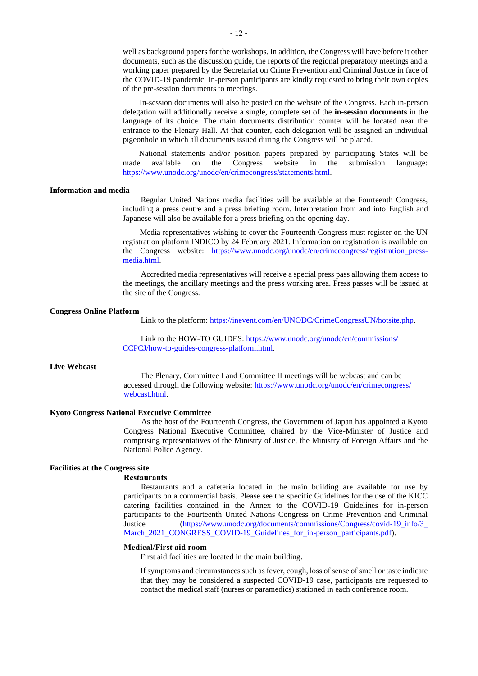well as background papers for the workshops. In addition, the Congress will have before it other documents, such as the discussion guide, the reports of the regional preparatory meetings and a working paper prepared by the Secretariat on Crime Prevention and Criminal Justice in face of the COVID-19 pandemic. In-person participants are kindly requested to bring their own copies of the pre-session documents to meetings.

In-session documents will also be posted on the website of the Congress. Each in-person delegation will additionally receive a single, complete set of the **in-session documents** in the language of its choice. The main documents distribution counter will be located near the entrance to the Plenary Hall. At that counter, each delegation will be assigned an individual pigeonhole in which all documents issued during the Congress will be placed.

National statements and/or position papers prepared by participating States will be available on the Congress website in the submission language: made available on the Congress website in the submission [https://www.unodc.org/unodc/en/crimecongress/statements.html.](https://www.unodc.org/unodc/en/crimecongress/statements.html)

#### **Information and media**

Regular United Nations media facilities will be available at the Fourteenth Congress, including a press centre and a press briefing room. Interpretation from and into English and Japanese will also be available for a press briefing on the opening day.

Media representatives wishing to cover the Fourteenth Congress must register on the UN registration platform INDICO by 24 February 2021. Information on registration is available on the Congress website: [https://www.unodc.org/unodc/en/crimecongress/registration\\_press](https://www.unodc.org/unodc/en/crimecongress/registration_press-media.html)[media.html.](https://www.unodc.org/unodc/en/crimecongress/registration_press-media.html)

Accredited media representatives will receive a special press pass allowing them access to the meetings, the ancillary meetings and the press working area. Press passes will be issued at the site of the Congress.

#### **Congress Online Platform**

Link to the platform[: https://inevent.com/en/UNODC/CrimeCongressUN/hotsite.php.](https://inevent.com/en/UNODC/CrimeCongressUN/hotsite.php)

Link to the HOW-TO GUIDES: [https://www.unodc.org/unodc/en/commissions/](https://www.unodc.org/unodc/en/commissions/%0bCCPCJ/how-to-guides-congress-platform.html) [CCPCJ/how-to-guides-congress-platform.html.](https://www.unodc.org/unodc/en/commissions/%0bCCPCJ/how-to-guides-congress-platform.html)

#### **Live Webcast**

The Plenary, Committee I and Committee II meetings will be webcast and can be accessed through the following website: [https://www.unodc.org/unodc/en/crimecongress/](https://www.unodc.org/unodc/en/crimecongress/%0bwebcast.html) [webcast.html.](https://www.unodc.org/unodc/en/crimecongress/%0bwebcast.html)

#### **Kyoto Congress National Executive Committee**

As the host of the Fourteenth Congress, the Government of Japan has appointed a Kyoto Congress National Executive Committee, chaired by the Vice-Minister of Justice and comprising representatives of the Ministry of Justice, the Ministry of Foreign Affairs and the National Police Agency.

#### **Facilities at the Congress site**

#### **Restaurants**

Restaurants and a cafeteria located in the main building are available for use by participants on a commercial basis. Please see the specific Guidelines for the use of the KICC catering facilities contained in the Annex to the COVID-19 Guidelines for in-person participants to the Fourteenth United Nations Congress on Crime Prevention and Criminal Justice [\(https://www.unodc.org/documents/commissions/Congress/covid-19\\_info/3\\_](https://www.unodc.org/documents/commissions/Congress/covid-19_info/3_%0bMarch_2021_CONGRESS_COVID-19_Guidelines_for_in-person_participants.pdf) [March\\_2021\\_CONGRESS\\_COVID-19\\_Guidelines\\_for\\_in-person\\_participants.pdf\)](https://www.unodc.org/documents/commissions/Congress/covid-19_info/3_%0bMarch_2021_CONGRESS_COVID-19_Guidelines_for_in-person_participants.pdf).

#### **Medical/First aid room**

First aid facilities are located in the main building.

If symptoms and circumstances such as fever, cough, loss of sense of smell or taste indicate that they may be considered a suspected COVID-19 case, participants are requested to contact the medical staff (nurses or paramedics) stationed in each conference room.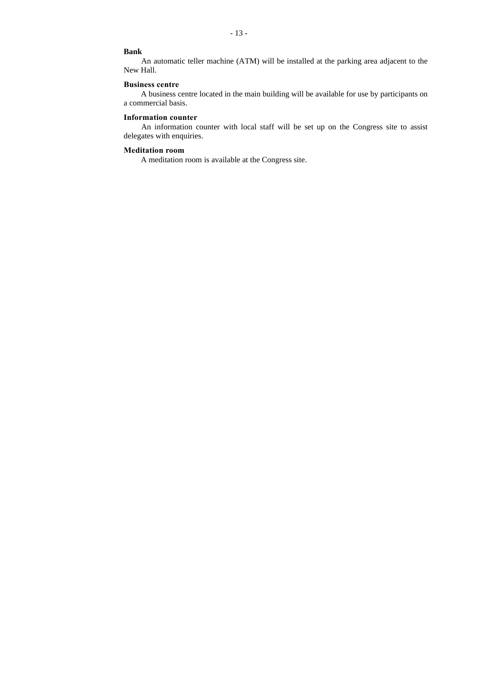- 13 -

#### **Bank**

An automatic teller machine (ATM) will be installed at the parking area adjacent to the New Hall.

### **Business centre**

A business centre located in the main building will be available for use by participants on a commercial basis.

#### **Information counter**

An information counter with local staff will be set up on the Congress site to assist delegates with enquiries.

#### **Meditation room**

A meditation room is available at the Congress site.